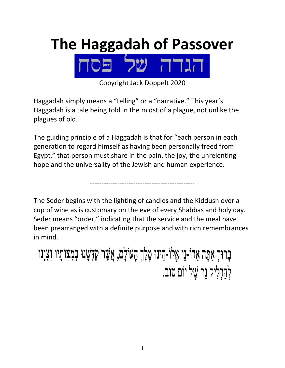# **The Haggadah of Passover**

Copyright Jack Doppelt 2020

Haggadah simply means a "telling" or a "narrative." This year's Haggadah is a tale being told in the midst of a plague, not unlike the plagues of old.

The guiding principle of a Haggadah is that for "each person in each generation to regard himself as having been personally freed from Egypt," that person must share in the pain, the joy, the unrelenting hope and the universality of the Jewish and human experience.

The Seder begins with the lighting of candles and the Kiddush over a cup of wine as is customary on the eve of every Shabbas and holy day. Seder means "order," indicating that the service and the meal have been prearranged with a definite purpose and with rich remembrances in mind.

----------------------------------------------

ּבָרוּךָ אַתַּה אַדוֹ-נַי אֵלוֹ-הֵינוּ מֶלֵךְ הָעוֹלַם, אֲשֶׁר קִדְּשָׁנוּ בְּמִצְוֹתָיו וְצִנָּנוּ לְהַדְּלִיק נֵר שֱל יוֹם טוֹב.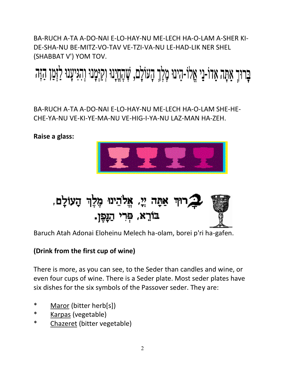BA-RUCH A-TA A-DO-NAI E-LO-HAY-NU ME-LECH HA-O-LAM A-SHER KI-DE-SHA-NU BE-MITZ-VO-TAV VE-TZI-VA-NU LE-HAD-LIK NER SHEL (SHABBAT V') YOM TOV.

בֵרוּךָ אַתַּה אַדוֹ-נַי אֱלוֹ-הֵינוּ מֶלֵךְ הַעוֹלֵם, שֶׁהֵחֲיָנוּ וְקִיִּמָנוּ וְהִגִּיעָנוּ לַזְמַן הַזֶּה

BA-RUCH A-TA A-DO-NAI F-I O-HAY-NU MF-I FCH HA-O-LAM SHF-HF-CHE-YA-NU VE-KI-YE-MA-NU VE-HIG-I-YA-NU LAZ-MAN HA-ZEH.

**Raise a glass:**





Baruch Atah Adonai Eloheinu Melech ha-olam, borei p'ri ha-gafen.

# **(Drink from the first cup of wine)**

There is more, as you can see, to the Seder than candles and wine, or even four cups of wine. There is a Seder plate. Most seder plates have six dishes for the six symbols of the Passover seder. They are:

- \* Maror (bitter herb[s])
- \* Karpas (vegetable)
- \* Chazeret (bitter vegetable)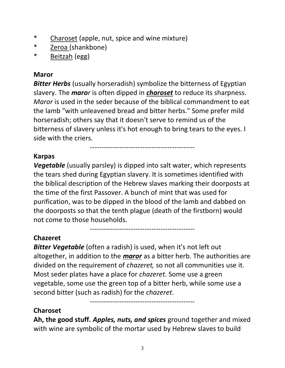- \* Charoset (apple, nut, spice and wine mixture)
- \* Zeroa (shankbone)
- \* Beitzah (egg)

#### **Maror**

*Bitter Herbs* (usually horseradish) symbolize the bitterness of Egyptian slavery. The *maror* is often dipped in *charoset* to reduce its sharpness. *Maror* is used in the seder because of the biblical commandment to eat the lamb "with unleavened bread and bitter herbs." Some prefer mild horseradish; others say that it doesn't serve to remind us of the bitterness of slavery unless it's hot enough to bring tears to the eyes. I side with the criers.

*----------------------------------------------*

**Karpas**

*Vegetable* (usually parsley) is dipped into salt water, which represents the tears shed during Egyptian slavery. It is sometimes identified with the biblical description of the Hebrew slaves marking their doorposts at the time of the first Passover. A bunch of mint that was used for purification, was to be dipped in the blood of the lamb and dabbed on the doorposts so that the tenth plague (death of the firstborn) would not come to those households.

----------------------------------------------

#### **Chazeret**

*Bitter Vegetable* (often a radish) is used, when it's not left out altogether, in addition to the *maror* as a bitter herb. The authorities are divided on the requirement of *chazeret,* so not all communities use it. Most seder plates have a place for *chazeret*. Some use a green vegetable, some use the green top of a bitter herb, while some use a second bitter (such as radish) for the *chazeret*.

----------------------------------------------

# **Charoset**

**Ah, the good stuff.** *Apples, nuts, and spices* ground together and mixed with wine are symbolic of the mortar used by Hebrew slaves to build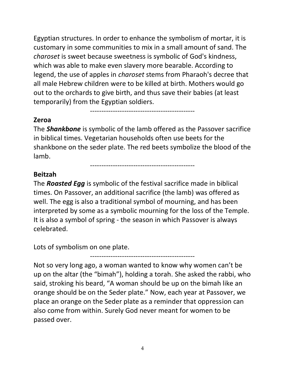Egyptian structures. In order to enhance the symbolism of mortar, it is customary in some communities to mix in a small amount of sand. The *charoset* is sweet because sweetness is symbolic of God's kindness, which was able to make even slavery more bearable. According to legend, the use of apples in *charoset* stems from Pharaoh's decree that all male Hebrew children were to be killed at birth. Mothers would go out to the orchards to give birth, and thus save their babies (at least temporarily) from the Egyptian soldiers.

----------------------------------------------

#### **Zeroa**

The *Shankbone* is symbolic of the lamb offered as the Passover sacrifice in biblical times. Vegetarian households often use beets for the shankbone on the seder plate. The red beets symbolize the blood of the lamb.

----------------------------------------------

#### **Beitzah**

The *Roasted Egg* is symbolic of the festival sacrifice made in biblical times. On Passover, an additional sacrifice (the lamb) was offered as well. The egg is also a traditional symbol of mourning, and has been interpreted by some as a symbolic mourning for the loss of the Temple. It is also a symbol of spring - the season in which Passover is always celebrated.

Lots of symbolism on one plate.

----------------------------------------------

Not so very long ago, a woman wanted to know why women can't be up on the altar (the "bimah"), holding a torah. She asked the rabbi, who said, stroking his beard, "A woman should be up on the bimah like an orange should be on the Seder plate." Now, each year at Passover, we place an orange on the Seder plate as a reminder that oppression can also come from within. Surely God never meant for women to be passed over.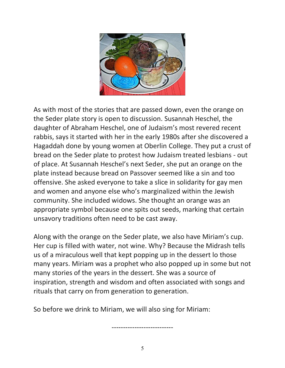

As with most of the stories that are passed down, even the orange on the Seder plate story is open to discussion. Susannah Heschel, the daughter of Abraham Heschel, one of Judaism's most revered recent rabbis, says it started with her in the early 1980s after she discovered a Hagaddah done by young women at Oberlin College. They put a crust of bread on the Seder plate to protest how Judaism treated lesbians - out of place. At Susannah Heschel's next Seder, she put an orange on the plate instead because bread on Passover seemed like a sin and too offensive. She asked everyone to take a slice in solidarity for gay men and women and anyone else who's marginalized within the Jewish community. She included widows. She thought an orange was an appropriate symbol because one spits out seeds, marking that certain unsavory traditions often need to be cast away.

Along with the orange on the Seder plate, we also have Miriam's cup. Her cup is filled with water, not wine. Why? Because the Midrash tells us of a miraculous well that kept popping up in the dessert lo those many years. Miriam was a prophet who also popped up in some but not many stories of the years in the dessert. She was a source of inspiration, strength and wisdom and often associated with songs and rituals that carry on from generation to generation.

So before we drink to Miriam, we will also sing for Miriam:

---------------------------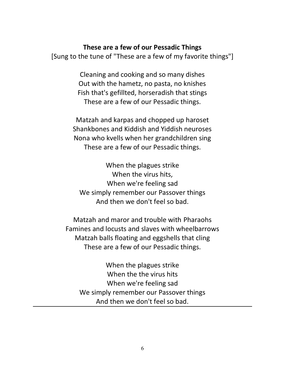#### **These are a few of our Pessadic Things**

[Sung to the tune of "These are a few of my favorite things"]

Cleaning and cooking and so many dishes Out with the hametz, no pasta, no knishes Fish that's gefillted, horseradish that stings These are a few of our Pessadic things.

Matzah and karpas and chopped up haroset Shankbones and Kiddish and Yiddish neuroses Nona who kvells when her grandchildren sing These are a few of our Pessadic things.

When the plagues strike When the virus hits, When we're feeling sad We simply remember our Passover things And then we don't feel so bad.

Matzah and maror and trouble with Pharaohs Famines and locusts and slaves with wheelbarrows Matzah balls floating and eggshells that cling These are a few of our Pessadic things.

When the plagues strike When the the virus hits When we're feeling sad We simply remember our Passover things And then we don't feel so bad.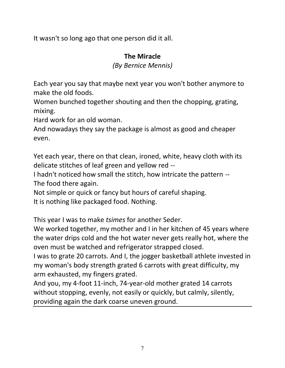It wasn't so long ago that one person did it all.

#### **The Miracle**

*(By Bernice Mennis)*

Each year you say that maybe next year you won't bother anymore to make the old foods.

Women bunched together shouting and then the chopping, grating, mixing.

Hard work for an old woman.

And nowadays they say the package is almost as good and cheaper even.

Yet each year, there on that clean, ironed, white, heavy cloth with its delicate stitches of leaf green and yellow red --

I hadn't noticed how small the stitch, how intricate the pattern -- The food there again.

Not simple or quick or fancy but hours of careful shaping.

It is nothing like packaged food. Nothing.

This year I was to make *tsimes* for another Seder.

We worked together, my mother and I in her kitchen of 45 years where the water drips cold and the hot water never gets really hot, where the oven must be watched and refrigerator strapped closed.

I was to grate 20 carrots. And I, the jogger basketball athlete invested in my woman's body strength grated 6 carrots with great difficulty, my arm exhausted, my fingers grated.

And you, my 4-foot 11-inch, 74-year-old mother grated 14 carrots without stopping, evenly, not easily or quickly, but calmly, silently, providing again the dark coarse uneven ground.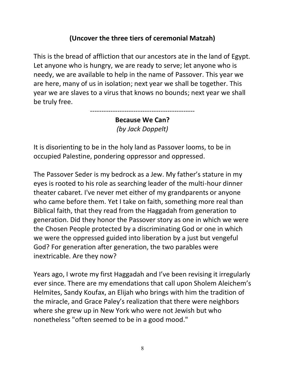# **(Uncover the three tiers of ceremonial Matzah)**

This is the bread of affliction that our ancestors ate in the land of Egypt. Let anyone who is hungry, we are ready to serve; let anyone who is needy, we are available to help in the name of Passover. This year we are here, many of us in isolation; next year we shall be together. This year we are slaves to a virus that knows no bounds; next year we shall be truly free.

> **Because We Can?** *(by Jack Doppelt)*

----------------------------------------------

It is disorienting to be in the holy land as Passover looms, to be in occupied Palestine, pondering oppressor and oppressed.

The Passover Seder is my bedrock as a Jew. My father's stature in my eyes is rooted to his role as searching leader of the multi-hour dinner theater cabaret. I've never met either of my grandparents or anyone who came before them. Yet I take on faith, something more real than Biblical faith, that they read from the Haggadah from generation to generation. Did they honor the Passover story as one in which we were the Chosen People protected by a discriminating God or one in which we were the oppressed guided into liberation by a just but vengeful God? For generation after generation, the two parables were inextricable. Are they now?

Years ago, I wrote my first Haggadah and I've been revising it irregularly ever since. There are my emendations that call upon Sholem Aleichem's Helmites, Sandy Koufax, an Elijah who brings with him the tradition of the miracle, and Grace Paley's realization that there were neighbors where she grew up in New York who were not Jewish but who nonetheless "often seemed to be in a good mood."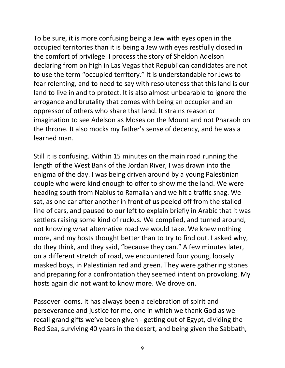To be sure, it is more confusing being a Jew with eyes open in the occupied territories than it is being a Jew with eyes restfully closed in the comfort of privilege. I process the story of Sheldon Adelson declaring from on high in Las Vegas that Republican candidates are not to use the term "occupied territory." It is understandable for Jews to fear relenting, and to need to say with resoluteness that this land is our land to live in and to protect. It is also almost unbearable to ignore the arrogance and brutality that comes with being an occupier and an oppressor of others who share that land. It strains reason or imagination to see Adelson as Moses on the Mount and not Pharaoh on the throne. It also mocks my father's sense of decency, and he was a learned man.

Still it is confusing. Within 15 minutes on the main road running the length of the West Bank of the Jordan River, I was drawn into the enigma of the day. I was being driven around by a young Palestinian couple who were kind enough to offer to show me the land. We were heading south from Nablus to Ramallah and we hit a traffic snag. We sat, as one car after another in front of us peeled off from the stalled line of cars, and paused to our left to explain briefly in Arabic that it was settlers raising some kind of ruckus. We complied, and turned around, not knowing what alternative road we would take. We knew nothing more, and my hosts thought better than to try to find out. I asked why, do they think, and they said, "because they can." A few minutes later, on a different stretch of road, we encountered four young, loosely masked boys, in Palestinian red and green. They were gathering stones and preparing for a confrontation they seemed intent on provoking. My hosts again did not want to know more. We drove on.

Passover looms. It has always been a celebration of spirit and perseverance and justice for me, one in which we thank God as we recall grand gifts we've been given - getting out of Egypt, dividing the Red Sea, surviving 40 years in the desert, and being given the Sabbath,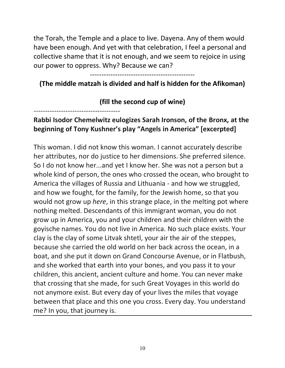the Torah, the Temple and a place to live. Dayena. Any of them would have been enough. And yet with that celebration, I feel a personal and collective shame that it is not enough, and we seem to rejoice in using our power to oppress. Why? Because we can?

----------------------------------------------

# **(The middle matzah is divided and half is hidden for the Afikoman)**

#### **(fill the second cup of wine)**

--------------------------------------

#### **Rabbi Isodor Chemelwitz eulogizes Sarah Ironson, of the Bronx, at the beginning of Tony Kushner's play "Angels in America" [excerpted]**

This woman. I did not know this woman. I cannot accurately describe her attributes, nor do justice to her dimensions. She preferred silence. So I do not know her...and yet I know her. She was not a person but a whole kind of person, the ones who crossed the ocean, who brought to America the villages of Russia and Lithuania - and how we struggled, and how we fought, for the family, for the Jewish home, so that you would not grow up *here*, in this strange place, in the melting pot where nothing melted. Descendants of this immigrant woman, you do not grow up in America, you and your children and their children with the goyische names. You do not live in America. No such place exists. Your clay is the clay of some Litvak shtetl, your air the air of the steppes, because she carried the old world on her back across the ocean, in a boat, and she put it down on Grand Concourse Avenue, or in Flatbush, and she worked that earth into your bones, and you pass it to your children, this ancient, ancient culture and home. You can never make that crossing that she made, for such Great Voyages in this world do not anymore exist. But every day of your lives the miles that voyage between that place and this one you cross. Every day. You understand me? In you, that journey is.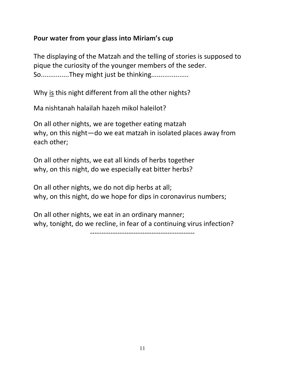#### **Pour water from your glass into Miriam's cup**

The displaying of the Matzah and the telling of stories is supposed to pique the curiosity of the younger members of the seder. So...............They might just be thinking....................

Why is this night different from all the other nights?

Ma nishtanah halailah hazeh mikol haleilot?

On all other nights, we are together eating matzah why, on this night—do we eat matzah in isolated places away from each other;

On all other nights, we eat all kinds of herbs together why, on this night, do we especially eat bitter herbs?

On all other nights, we do not dip herbs at all; why, on this night, do we hope for dips in coronavirus numbers;

On all other nights, we eat in an ordinary manner; why, tonight, do we recline, in fear of a continuing virus infection?

----------------------------------------------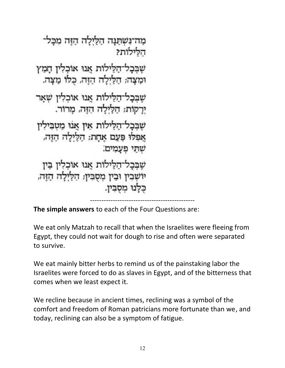מַה־נִּשְׁתֵּנָּה הַלַיְלָה הַזֶּה מִכָּל־ הלילות? שִׁבְּכָל־הַלֵּילוֹת אֲנוּ אוֹכְלִין הָמַץ ומַצָה: הַלַּיְלָה הַזֶּה, כְּלוֹ מַצָּה. שִׁבְּכָל־הַלֵּילוֹת אֲנוּ אוֹכְלִין שָׁאָר ירקות: הַלְיַלָה הַזָּה, מַרוֹר. שִׁבְּכָל־הַלֵּילוֹת אֵין אֲנוּ מַטְבִּילִין אפלו פעם אחת: הלילה הזה. שתי פעמים. שַׁבְּכָל־הַלֵּילוֹת אֲנוּ אוֹכְלִין בֵּין יושבין ובין מסבין: הַלַיְלָה הַזָּה, כִּלְנוּ מִסְבִּין.

**The simple answers** to each of the Four Questions are:

We eat only Matzah to recall that when the Israelites were fleeing from Egypt, they could not wait for dough to rise and often were separated to survive.

----------------------------------------------

We eat mainly bitter herbs to remind us of the painstaking labor the Israelites were forced to do as slaves in Egypt, and of the bitterness that comes when we least expect it.

We recline because in ancient times, reclining was a symbol of the comfort and freedom of Roman patricians more fortunate than we, and today, reclining can also be a symptom of fatigue.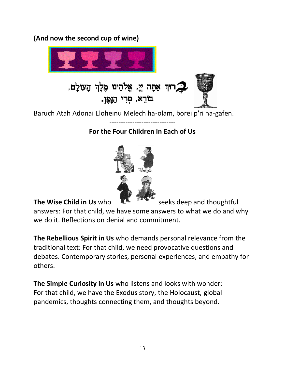**(And now the second cup of wine)**



Baruch Atah Adonai Eloheinu Melech ha-olam, borei p'ri ha-gafen.

#### ----------------------------- **For the Four Children in Each of Us**



**The Wise Child in Us** who **ILL SEEKS** seeks deep and thoughtful answers: For that child, we have some answers to what we do and why we do it. Reflections on denial and commitment.

**The Rebellious Spirit in Us** who demands personal relevance from the traditional text: For that child, we need provocative questions and debates. Contemporary stories, personal experiences, and empathy for others.

**The Simple Curiosity in Us** who listens and looks with wonder: For that child, we have the Exodus story, the Holocaust, global pandemics, thoughts connecting them, and thoughts beyond.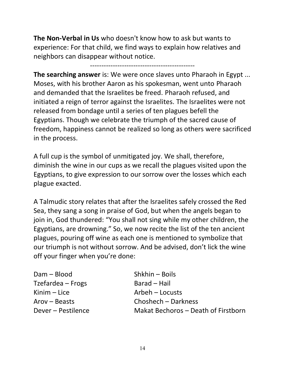**The Non-Verbal in Us** who doesn't know how to ask but wants to experience: For that child, we find ways to explain how relatives and neighbors can disappear without notice.

----------------------------------------------

**The searching answer** is: We were once slaves unto Pharaoh in Egypt ... Moses, with his brother Aaron as his spokesman, went unto Pharaoh and demanded that the Israelites be freed. Pharaoh refused, and initiated a reign of terror against the Israelites. The Israelites were not released from bondage until a series of ten plagues befell the Egyptians. Though we celebrate the triumph of the sacred cause of freedom, happiness cannot be realized so long as others were sacrificed in the process.

A full cup is the symbol of unmitigated joy. We shall, therefore, diminish the wine in our cups as we recall the plagues visited upon the Egyptians, to give expression to our sorrow over the losses which each plague exacted.

A Talmudic story relates that after the Israelites safely crossed the Red Sea, they sang a song in praise of God, but when the angels began to join in, God thundered: "You shall not sing while my other children, the Egyptians, are drowning." So, we now recite the list of the ten ancient plagues, pouring off wine as each one is mentioned to symbolize that our triumph is not without sorrow. And be advised, don't lick the wine off your finger when you're done:

| $Dam - Blood$      | Shkhin – Boils                      |
|--------------------|-------------------------------------|
| Tzefardea – Frogs  | Barad - Hail                        |
| $Kim - Lice$       | Arbeh – Locusts                     |
| Arov – Beasts      | Choshech – Darkness                 |
| Dever – Pestilence | Makat Bechoros – Death of Firstborn |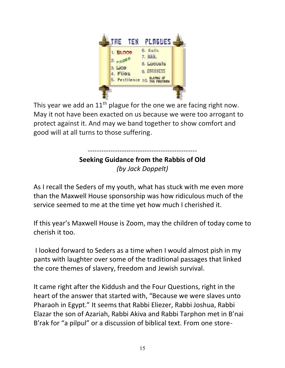

This year we add an  $11<sup>th</sup>$  plague for the one we are facing right now. May it not have been exacted on us because we were too arrogant to protect against it. And may we band together to show comfort and good will at all turns to those suffering.

#### ------------------------------------------------ **Seeking Guidance from the Rabbis of Old** *(by Jack Doppelt)*

As I recall the Seders of my youth, what has stuck with me even more than the Maxwell House sponsorship was how ridiculous much of the service seemed to me at the time yet how much I cherished it.

If this year's Maxwell House is Zoom, may the children of today come to cherish it too.

I looked forward to Seders as a time when I would almost pish in my pants with laughter over some of the traditional passages that linked the core themes of slavery, freedom and Jewish survival.

It came right after the Kiddush and the Four Questions, right in the heart of the answer that started with, "Because we were slaves unto Pharaoh in Egypt." It seems that Rabbi Eliezer, Rabbi Joshua, Rabbi Elazar the son of Azariah, Rabbi Akiva and Rabbi Tarphon met in B'nai B'rak for "a pilpul" or a discussion of biblical text. From one store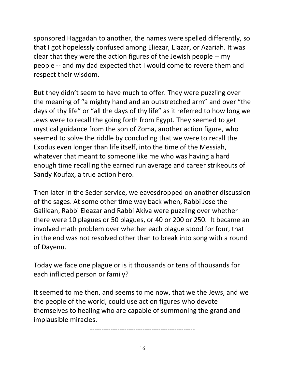sponsored Haggadah to another, the names were spelled differently, so that I got hopelessly confused among Eliezar, Elazar, or Azariah. It was clear that they were the action figures of the Jewish people -- my people -- and my dad expected that I would come to revere them and respect their wisdom.

But they didn't seem to have much to offer. They were puzzling over the meaning of "a mighty hand and an outstretched arm" and over "the days of thy life" or "all the days of thy life" as it referred to how long we Jews were to recall the going forth from Egypt. They seemed to get mystical guidance from the son of Zoma, another action figure, who seemed to solve the riddle by concluding that we were to recall the Exodus even longer than life itself, into the time of the Messiah, whatever that meant to someone like me who was having a hard enough time recalling the earned run average and career strikeouts of Sandy Koufax, a true action hero.

Then later in the Seder service, we eavesdropped on another discussion of the sages. At some other time way back when, Rabbi Jose the Galilean, Rabbi Eleazar and Rabbi Akiva were puzzling over whether there were 10 plagues or 50 plagues, or 40 or 200 or 250. It became an involved math problem over whether each plague stood for four, that in the end was not resolved other than to break into song with a round of Dayenu.

Today we face one plague or is it thousands or tens of thousands for each inflicted person or family?

It seemed to me then, and seems to me now, that we the Jews, and we the people of the world, could use action figures who devote themselves to healing who are capable of summoning the grand and implausible miracles.

----------------------------------------------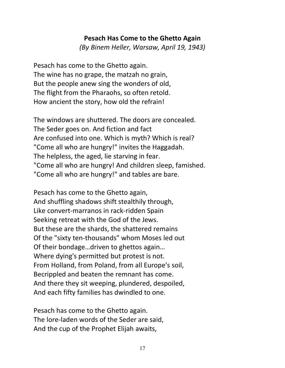#### **Pesach Has Come to the Ghetto Again**

*(By Binem Heller, Warsaw, April 19, 1943)*

Pesach has come to the Ghetto again. The wine has no grape, the matzah no grain, But the people anew sing the wonders of old, The flight from the Pharaohs, so often retold. How ancient the story, how old the refrain!

The windows are shuttered. The doors are concealed. The Seder goes on. And fiction and fact Are confused into one. Which is myth? Which is real? "Come all who are hungry!" invites the Haggadah. The helpless, the aged, lie starving in fear. "Come all who are hungry! And children sleep, famished. "Come all who are hungry!" and tables are bare.

Pesach has come to the Ghetto again, And shuffling shadows shift stealthily through, Like convert-marranos in rack-ridden Spain Seeking retreat with the God of the Jews. But these are the shards, the shattered remains Of the "sixty ten-thousands" whom Moses led out Of their bondage…driven to ghettos again… Where dying's permitted but protest is not. From Holland, from Poland, from all Europe's soil, Becrippled and beaten the remnant has come. And there they sit weeping, plundered, despoiled, And each fifty families has dwindled to one.

Pesach has come to the Ghetto again. The lore-laden words of the Seder are said, And the cup of the Prophet Elijah awaits,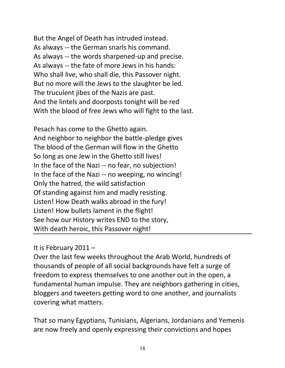But the Angel of Death has intruded instead. As always -- the German snarls his command. As always -- the words sharpened-up and precise. As always -- the fate of more Jews in his hands: Who shall live, who shall die, this Passover night. But no more will the Jews to the slaughter be led. The truculent jibes of the Nazis are past. And the lintels and doorposts tonight will be red With the blood of free Jews who will fight to the last.

Pesach has come to the Ghetto again. And neighbor to neighbor the battle-pledge gives The blood of the German will flow in the Ghetto So long as one Jew in the Ghetto still lives! In the face of the Nazi -- no fear, no subjection! In the face of the Nazi -- no weeping, no wincing! Only the hatred, the wild satisfaction Of standing against him and madly resisting. Listen! How Death walks abroad in the fury! Listen! How bullets lament in the flight! See how our History writes END to the story, With death heroic, this Passover night!

It is February 2011 –

Over the last few weeks throughout the Arab World, hundreds of thousands of people of all social backgrounds have felt a surge of freedom to express themselves to one another out in the open, a fundamental human impulse. They are neighbors gathering in cities, bloggers and tweeters getting word to one another, and journalists covering what matters.

That so many Egyptians, Tunisians, Algerians, Jordanians and Yemenis are now freely and openly expressing their convictions and hopes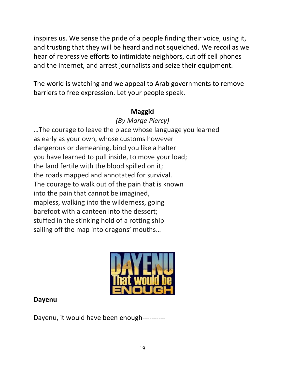inspires us. We sense the pride of a people finding their voice, using it, and trusting that they will be heard and not squelched. We recoil as we hear of repressive efforts to intimidate neighbors, cut off cell phones and the internet, and arrest journalists and seize their equipment.

The world is watching and we appeal to Arab governments to remove barriers to free expression. Let your people speak.

# **Maggid**

*(By Marge Piercy)*

…The courage to leave the place whose language you learned as early as your own, whose customs however dangerous or demeaning, bind you like a halter you have learned to pull inside, to move your load; the land fertile with the blood spilled on it; the roads mapped and annotated for survival. The courage to walk out of the pain that is known into the pain that cannot be imagined, mapless, walking into the wilderness, going barefoot with a canteen into the dessert; stuffed in the stinking hold of a rotting ship sailing off the map into dragons' mouths…



#### **Dayenu**

Dayenu, it would have been enough----------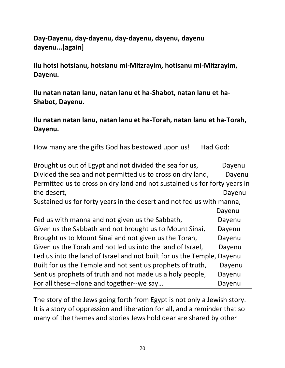# **Day-Dayenu, day-dayenu, day-dayenu, dayenu, dayenu dayenu...[again]**

**Ilu hotsi hotsianu, hotsianu mi-Mitzrayim, hotisanu mi-Mitzrayim, Dayenu.**

**Ilu natan natan lanu, natan lanu et ha-Shabot, natan lanu et ha-Shabot, Dayenu.**

**Ilu natan natan lanu, natan lanu et ha-Torah, natan lanu et ha-Torah, Dayenu.**

How many are the gifts God has bestowed upon us! Had God:

Brought us out of Egypt and not divided the sea for us, Dayenu Divided the sea and not permitted us to cross on dry land, Dayenu Permitted us to cross on dry land and not sustained us for forty years in the desert, **Dayenum Example 2018** Sustained us for forty years in the desert and not fed us with manna, Dayenu Fed us with manna and not given us the Sabbath, Dayenu Given us the Sabbath and not brought us to Mount Sinai, Dayenu Brought us to Mount Sinai and not given us the Torah, Dayenu Given us the Torah and not led us into the land of Israel, Dayenu Led us into the land of Israel and not built for us the Temple, Dayenu Built for us the Temple and not sent us prophets of truth, Dayenu Sent us prophets of truth and not made us a holy people, Dayenu For all these--alone and together--we say... Dayenu

The story of the Jews going forth from Egypt is not only a Jewish story. It is a story of oppression and liberation for all, and a reminder that so many of the themes and stories Jews hold dear are shared by other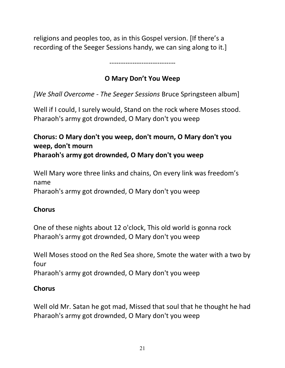religions and peoples too, as in this Gospel version. [If there's a recording of the Seeger Sessions handy, we can sing along to it.]

-----------------------------

# **O Mary Don't You Weep**

*[We Shall Overcome - The Seeger Sessions* Bruce Springsteen album]

Well if I could, I surely would, Stand on the rock where Moses stood. Pharaoh's army got drownded, O Mary don't you weep

#### **Chorus: O Mary don't you weep, don't mourn, O Mary don't you weep, don't mourn Pharaoh's army got drownded, O Mary don't you weep**

Well Mary wore three links and chains, On every link was freedom's name Pharaoh's army got drownded, O Mary don't you weep

# **Chorus**

One of these nights about 12 o'clock, This old world is gonna rock Pharaoh's army got drownded, O Mary don't you weep

Well Moses stood on the Red Sea shore, Smote the water with a two by four

Pharaoh's army got drownded, O Mary don't you weep

# **Chorus**

Well old Mr. Satan he got mad, Missed that soul that he thought he had Pharaoh's army got drownded, O Mary don't you weep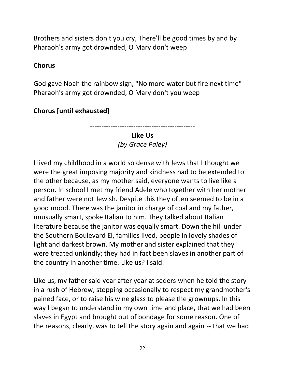Brothers and sisters don't you cry, There'll be good times by and by Pharaoh's army got drownded, O Mary don't weep

#### **Chorus**

God gave Noah the rainbow sign, "No more water but fire next time" Pharaoh's army got drownded, O Mary don't you weep

# **Chorus [until exhausted]**

----------------------------------------------

**Like Us** *(by Grace Paley)*

I lived my childhood in a world so dense with Jews that I thought we were the great imposing majority and kindness had to be extended to the other because, as my mother said, everyone wants to live like a person. In school I met my friend Adele who together with her mother and father were not Jewish. Despite this they often seemed to be in a good mood. There was the janitor in charge of coal and my father, unusually smart, spoke Italian to him. They talked about Italian literature because the janitor was equally smart. Down the hill under the Southern Boulevard El, families lived, people in lovely shades of light and darkest brown. My mother and sister explained that they were treated unkindly; they had in fact been slaves in another part of the country in another time. Like us? I said.

Like us, my father said year after year at seders when he told the story in a rush of Hebrew, stopping occasionally to respect my grandmother's pained face, or to raise his wine glass to please the grownups. In this way I began to understand in my own time and place, that we had been slaves in Egypt and brought out of bondage for some reason. One of the reasons, clearly, was to tell the story again and again -- that we had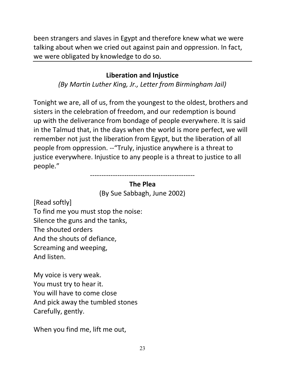been strangers and slaves in Egypt and therefore knew what we were talking about when we cried out against pain and oppression. In fact, we were obligated by knowledge to do so.

#### **Liberation and Injustice**

*(By Martin Luther King, Jr., Letter from Birmingham Jail)*

Tonight we are, all of us, from the youngest to the oldest, brothers and sisters in the celebration of freedom, and our redemption is bound up with the deliverance from bondage of people everywhere. It is said in the Talmud that, in the days when the world is more perfect, we will remember not just the liberation from Egypt, but the liberation of all people from oppression. --"Truly, injustice anywhere is a threat to justice everywhere. Injustice to any people is a threat to justice to all people."

----------------------------------------------

#### **The Plea**

(By Sue Sabbagh, June 2002)

[Read softly] To find me you must stop the noise: Silence the guns and the tanks, The shouted orders And the shouts of defiance, Screaming and weeping, And listen.

My voice is very weak. You must try to hear it. You will have to come close And pick away the tumbled stones Carefully, gently.

When you find me, lift me out,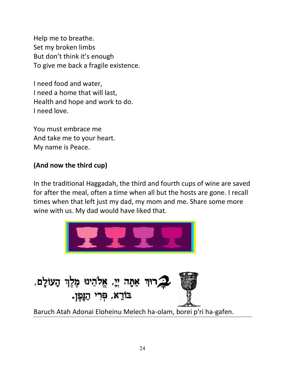Help me to breathe. Set my broken limbs But don't think it's enough To give me back a fragile existence.

I need food and water, I need a home that will last, Health and hope and work to do. I need love.

You must embrace me And take me to your heart. My name is Peace.

# **(And now the third cup)**

In the traditional Haggadah, the third and fourth cups of wine are saved for after the meal, often a time when all but the hosts are gone. I recall times when that left just my dad, my mom and me. Share some more wine with us. My dad would have liked that.



Baruch Atah Adonai Eloheinu Melech ha-olam, borei p'ri ha-gafen.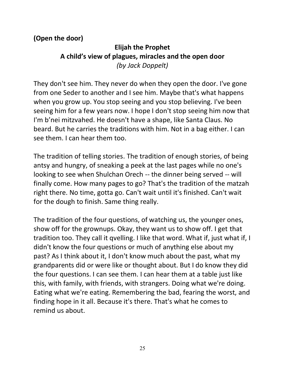**(Open the door)**

# **Elijah the Prophet A child's view of plagues, miracles and the open door** *(by Jack Doppelt)*

They don't see him. They never do when they open the door. I've gone from one Seder to another and I see him. Maybe that's what happens when you grow up. You stop seeing and you stop believing. I've been seeing him for a few years now. I hope I don't stop seeing him now that I'm b'nei mitzvahed. He doesn't have a shape, like Santa Claus. No beard. But he carries the traditions with him. Not in a bag either. I can see them. I can hear them too.

The tradition of telling stories. The tradition of enough stories, of being antsy and hungry, of sneaking a peek at the last pages while no one's looking to see when Shulchan Orech -- the dinner being served -- will finally come. How many pages to go? That's the tradition of the matzah right there. No time, gotta go. Can't wait until it's finished. Can't wait for the dough to finish. Same thing really.

The tradition of the four questions, of watching us, the younger ones, show off for the grownups. Okay, they want us to show off. I get that tradition too. They call it qvelling. I like that word. What if, just what if, I didn't know the four questions or much of anything else about my past? As I think about it, I don't know much about the past, what my grandparents did or were like or thought about. But I do know they did the four questions. I can see them. I can hear them at a table just like this, with family, with friends, with strangers. Doing what we're doing. Eating what we're eating. Remembering the bad, fearing the worst, and finding hope in it all. Because it's there. That's what he comes to remind us about.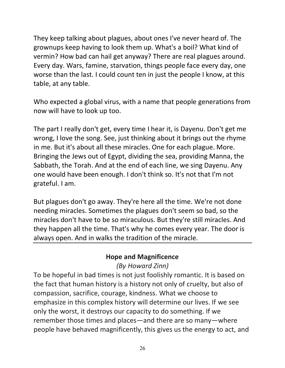They keep talking about plagues, about ones I've never heard of. The grownups keep having to look them up. What's a boil? What kind of vermin? How bad can hail get anyway? There are real plagues around. Every day. Wars, famine, starvation, things people face every day, one worse than the last. I could count ten in just the people I know, at this table, at any table.

Who expected a global virus, with a name that people generations from now will have to look up too.

The part I really don't get, every time I hear it, is Dayenu. Don't get me wrong, I love the song. See, just thinking about it brings out the rhyme in me. But it's about all these miracles. One for each plague. More. Bringing the Jews out of Egypt, dividing the sea, providing Manna, the Sabbath, the Torah. And at the end of each line, we sing Dayenu. Any one would have been enough. I don't think so. It's not that I'm not grateful. I am.

But plagues don't go away. They're here all the time. We're not done needing miracles. Sometimes the plagues don't seem so bad, so the miracles don't have to be so miraculous. But they're still miracles. And they happen all the time. That's why he comes every year. The door is always open. And in walks the tradition of the miracle.

#### **Hope and Magnificence**

*(By Howard Zinn)*

To be hopeful in bad times is not just foolishly romantic. It is based on the fact that human history is a history not only of cruelty, but also of compassion, sacrifice, courage, kindness. What we choose to emphasize in this complex history will determine our lives. If we see only the worst, it destroys our capacity to do something. If we remember those times and places—and there are so many—where people have behaved magnificently, this gives us the energy to act, and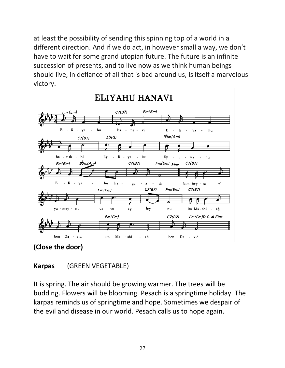at least the possibility of sending this spinning top of a world in a different direction. And if we do act, in however small a way, we don't have to wait for some grand utopian future. The future is an infinite succession of presents, and to live now as we think human beings should live, in defiance of all that is bad around us, is itself a marvelous victory.

![](_page_26_Figure_1.jpeg)

# **Karpas** (GREEN VEGETABLE)

It is spring. The air should be growing warmer. The trees will be budding. Flowers will be blooming. Pesach is a springtime holiday. The karpas reminds us of springtime and hope. Sometimes we despair of the evil and disease in our world. Pesach calls us to hope again.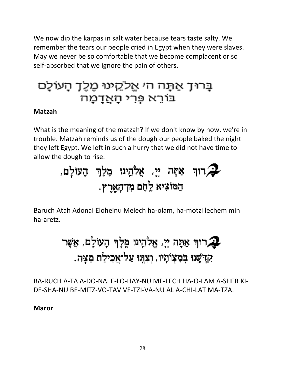We now dip the karpas in salt water because tears taste salty. We remember the tears our people cried in Egypt when they were slaves. May we never be so comfortable that we become complacent or so self-absorbed that we ignore the pain of others.

# ברוּך אתה הי אלסינו מלך העולם בורא פרי האדמה

**Matzah**

What is the meaning of the matzah? If we don't know by now, we're in trouble. Matzah reminds us of the dough our people baked the night they left Egypt. We left in such a hurry that we did not have time to allow the dough to rise.

![](_page_27_Picture_4.jpeg)

Baruch Atah Adonai Eloheinu Melech ha-olam, ha-motzi lechem min ha-aretz.

ברוך אַתָּה יְיָ, אֱלֹהֶינוּ מֶלֶךְ הָעוֹלָם, אֲשֶׁר קדְשֵׁנוּ בִּמְצְוֹתָיוּ, וְצְוֵנוּ עֲלֹיאֱכְילַת מַצָּה.

BA-RUCH A-TA A-DO-NAI E-LO-HAY-NU ME-LECH HA-O-LAM A-SHER KI-DE-SHA-NU BE-MITZ-VO-TAV VE-TZI-VA-NU AL A-CHI-LAT MA-TZA.

**Maror**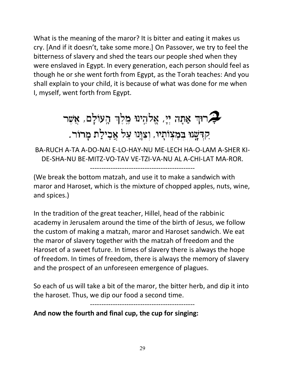What is the meaning of the maror? It is bitter and eating it makes us cry. [And if it doesn't, take some more.] On Passover, we try to feel the bitterness of slavery and shed the tears our people shed when they were enslaved in Egypt. In every generation, each person should feel as though he or she went forth from Egypt, as the Torah teaches: And you shall explain to your child, it is because of what was done for me when I, myself, went forth from Egypt.

# רוך אתה יי, אלהינו מלך העולם, אשר $\boldsymbol{\mathcal{P}}$ קדְשֵׁנוּ בִּמְצְוֹתָיוּ, וְצִוְּנוּ עַל אֲכִילַת מָרוֹר.

BA-RUCH A-TA A-DO-NAI F-I O-HAY-NU MF-I FCH HA-O-LAM A-SHER KI-DE-SHA-NU BE-MITZ-VO-TAV VE-TZI-VA-NU AL A-CHI-LAT MA-ROR.

----------------------------------------------

(We break the bottom matzah, and use it to make a sandwich with maror and Haroset, which is the mixture of chopped apples, nuts, wine, and spices.)

In the tradition of the great teacher, Hillel, head of the rabbinic academy in Jerusalem around the time of the birth of Jesus, we follow the custom of making a matzah, maror and Haroset sandwich. We eat the maror of slavery together with the matzah of freedom and the Haroset of a sweet future. In times of slavery there is always the hope of freedom. In times of freedom, there is always the memory of slavery and the prospect of an unforeseen emergence of plagues.

So each of us will take a bit of the maror, the bitter herb, and dip it into the haroset. Thus, we dip our food a second time.

----------------------------------------------

# **And now the fourth and final cup, the cup for singing:**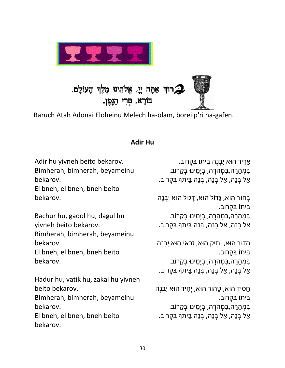![](_page_29_Picture_0.jpeg)

![](_page_29_Picture_1.jpeg)

Baruch Atah Adonai Eloheinu Melech ha-olam, borei p'ri ha-gafen.

בּוֹרֵא, פְּרִי הַנָּכֶּן.

#### **Adir Hu**

Adir hu yivneh beito bekarov. Bimherah, bimherah, beyameinu bekarov.

El bneh, el bneh, bneh beito bekarov.

Bachur hu, gadol hu, dagul hu yivneh beito bekarov. Bimherah, bimherah, beyameinu bekarov.

El bneh, el bneh, bneh beito bekarov.

Hadur hu, vatik hu, zakai hu yivneh beito bekarov.

Bimherah, bimherah, beyameinu bekarov.

El bneh, el bneh, bneh beito bekarov.

ֹאַדִּיר הוּא יִבְנֶה בֵּיתוֹ בְּקַרוֹב. ׁ בִּמְהֵרַה,בְּמְהֵרָה, בְּיָמֵינוּ בְּקַרוֹב. אֵל בְּנֵה, אֵל בְּנֵה, בְּנֵה בֵּיתִךּ בִּקָרוֹב.

בָ חּור הּוא, גָדֹול הּוא, דָ גּול הּוא יִּבְ נֶה ב יתֹו בְ קָ רֹוב. ַ בַּמְהרה,בַּמַהרה, בִּימִינוּ בַּקְרוֹב. ֹאֵל בְּנֵה, אֵל בְּנֵה, בְּנֵה בֵּיתִךּ בְּקַרוֹב.

הָ דּור הּוא, וָתִּ יק הּוא, זַכַאי הּוא יִּבְ נֶה ב יתֹו בְ קָ רֹוב. ׁ בִּמְהֵרַה,בְּמְהֵרָה, בְּיַמֵינוּ בְּקַרוֹב. אל בַּנה, אל בַּנה, בַּנה בּיתִךּ בַּקְרוֹב.

ּחָסִיד הוּא, טָהוֹר הוּא, יָחִיד הוּא יִבְנֵה ב יתֹו בְ קָ רֹוב. ׁ בִּמְהֵרַה,בְּמְהֵרָה, בְּיָמֵינוּ בְּקַרוֹב. אֵל בְּנֵה, אֵל בְּנֵה, בְּנֵה בֵּיתִךּ בְּקֵרוֹב.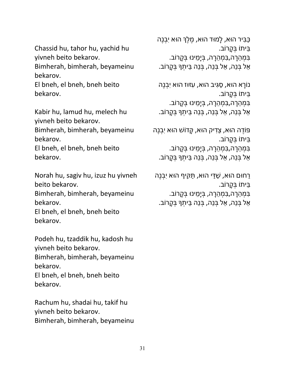Chassid hu, tahor hu, yachid hu yivneh beito bekarov.

Bimherah, bimherah, beyameinu bekarov.

El bneh, el bneh, bneh beito bekarov.

Kabir hu, lamud hu, melech hu yivneh beito bekarov.

Bimherah, bimherah, beyameinu bekarov.

El bneh, el bneh, bneh beito bekarov.

Norah hu, sagiv hu, izuz hu yivneh beito bekarov.

Bimherah, bimherah, beyameinu bekarov.

El bneh, el bneh, bneh beito bekarov.

Podeh hu, tzaddik hu, kadosh hu yivneh beito bekarov.

Bimherah, bimherah, beyameinu bekarov.

El bneh, el bneh, bneh beito bekarov.

Rachum hu, shadai hu, takif hu yivneh beito bekarov. Bimherah, bimherah, beyameinu ּ כַּבִּיר הוּא, לָמוּד הוּא, מֶלֶךְ הוּא יִבְנֵה ב יתֹו בְ קָ רֹוב. ׁ בִּמְהֵרָה,בְּמְהֵרָה, בְּיַמֵינוּ בְּקַרוֹב. אֵל בְּנֵה, אֵל בְּנֵה, בִּנֵה בֵּיתִךּ בִּקֲרוֹב.

נוֹרא הוּא, סגּיב הוּא, עזּוּז הוּא יִבְנַה ב יתֹו בְ קָ רֹוב. ׁ בִּמְהֶרַה,בְּמְהֶרָה, בְּיַמֶינוּ בְּקַרוֹב. ֹאֵל בְּנֵה, אֵל בָּנֵה, בְּנֵה בֵּיתִךְ בְּקָרוֹב.

ּפֹודֶ ה הּוא, צַ דִּ יק הּוא, קָ דֹוׁש הּוא יִּבְ נֶה ב יתֹו בְ קָ רֹוב. ׁ בִּמְהֵרַה,בִּמְהֵרָה, בְּיָמֵינוּ בְּקַרוֹב. אֵל בְּנֵה, אֵל בְּנֵה, בְּנֵה בֵּיתִךּ בְּקֵרוֹב.

רַ חּום הּוא, ׁשַ דַ י הּוא, תַ קִּ יף הּוא יִּבְ נֶה ב יתֹו בְ קָ רֹוב. ׁ בִּמְהֵרָה,בְּמְהֵרָה, בְּיַמֵינוּ בְּקַרוֹב. אֵל בְּנֵה, אֵל בְּנֵה, בְּנֵה בֵּיתִךּ בְּקֵרוֹב.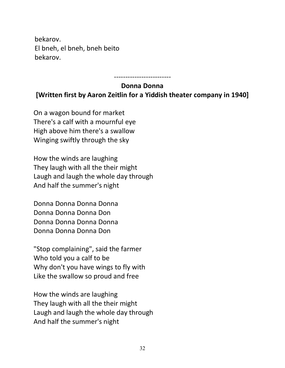bekarov. El bneh, el bneh, bneh beito bekarov.

#### ------------------------- **Donna Donna [Written first by Aaron Zeitlin for a Yiddish theater company in 1940]**

On a wagon bound for market There's a calf with a mournful eye High above him there's a swallow Winging swiftly through the sky

How the winds are laughing They laugh with all the their might Laugh and laugh the whole day through And half the summer's night

Donna Donna Donna Donna Donna Donna Donna Don Donna Donna Donna Donna Donna Donna Donna Don

"Stop complaining", said the farmer Who told you a calf to be Why don't you have wings to fly with Like the swallow so proud and free

How the winds are laughing They laugh with all the their might Laugh and laugh the whole day through And half the summer's night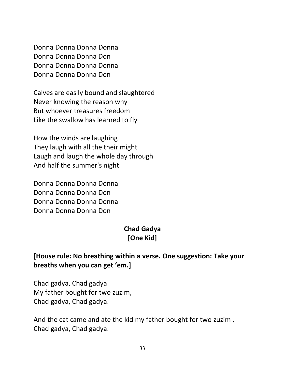Donna Donna Donna Donna Donna Donna Donna Don Donna Donna Donna Donna Donna Donna Donna Don

Calves are easily bound and slaughtered Never knowing the reason why But whoever treasures freedom Like the swallow has learned to fly

How the winds are laughing They laugh with all the their might Laugh and laugh the whole day through And half the summer's night

Donna Donna Donna Donna Donna Donna Donna Don Donna Donna Donna Donna Donna Donna Donna Don

# **Chad Gadya [One Kid]**

# **[House rule: No breathing within a verse. One suggestion: Take your breaths when you can get 'em.]**

Chad gadya, Chad gadya My father bought for two zuzim, Chad gadya, Chad gadya.

And the cat came and ate the kid my father bought for two zuzim , Chad gadya, Chad gadya.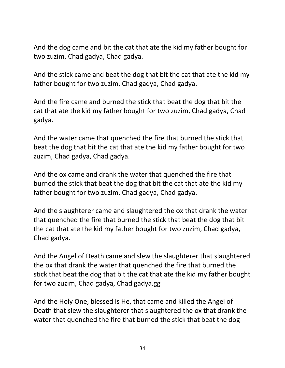And the dog came and bit the cat that ate the kid my father bought for two zuzim, Chad gadya, Chad gadya.

And the stick came and beat the dog that bit the cat that ate the kid my father bought for two zuzim, Chad gadya, Chad gadya.

And the fire came and burned the stick that beat the dog that bit the cat that ate the kid my father bought for two zuzim, Chad gadya, Chad gadya.

And the water came that quenched the fire that burned the stick that beat the dog that bit the cat that ate the kid my father bought for two zuzim, Chad gadya, Chad gadya.

And the ox came and drank the water that quenched the fire that burned the stick that beat the dog that bit the cat that ate the kid my father bought for two zuzim, Chad gadya, Chad gadya.

And the slaughterer came and slaughtered the ox that drank the water that quenched the fire that burned the stick that beat the dog that bit the cat that ate the kid my father bought for two zuzim, Chad gadya, Chad gadya.

And the Angel of Death came and slew the slaughterer that slaughtered the ox that drank the water that quenched the fire that burned the stick that beat the dog that bit the cat that ate the kid my father bought for two zuzim, Chad gadya, Chad gadya.gg

And the Holy One, blessed is He, that came and killed the Angel of Death that slew the slaughterer that slaughtered the ox that drank the water that quenched the fire that burned the stick that beat the dog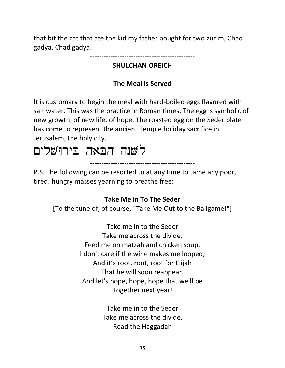that bit the cat that ate the kid my father bought for two zuzim, Chad gadya, Chad gadya.

----------------------------------------------

#### **SHULCHAN OREICH**

# **The Meal is Served**

It is customary to begin the meal with hard-boiled eggs flavored with salt water. This was the practice in Roman times. The egg is symbolic of new growth, of new life, of hope. The roasted egg on the Seder plate has come to represent the ancient Temple holiday sacrifice in Jerusalem, the holy city.

# לשנה הבאה בירוּשלים

---------------------------------------------- P.S. The following can be resorted to at any time to tame any poor, tired, hungry masses yearning to breathe free:

# **Take Me in To The Seder**

[To the tune of, of course, "Take Me Out to the Ballgame!"]

Take me in to the Seder Take me across the divide. Feed me on matzah and chicken soup, I don't care if the wine makes me looped, And it's root, root, root for Elijah That he will soon reappear. And let's hope, hope, hope that we'll be Together next year!

> Take me in to the Seder Take me across the divide. Read the Haggadah